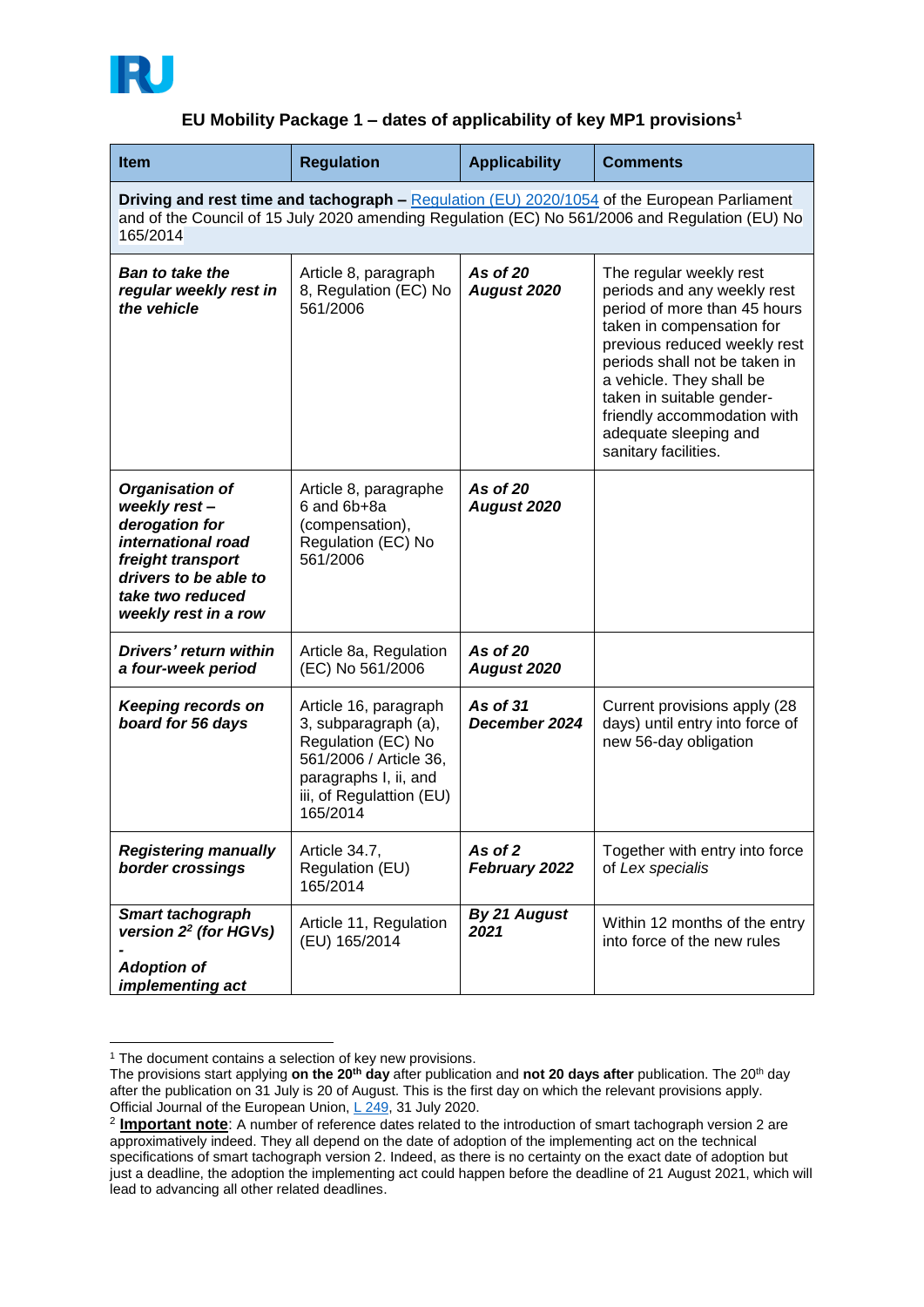

## **EU Mobility Package 1 – dates of applicability of key MP1 provisions<sup>1</sup>**

| <b>Item</b>                                                                                                                                                                                               | <b>Regulation</b>                                                                                                                                              | <b>Applicability</b>           | <b>Comments</b>                                                                                                                                                                                                                                                                                                               |
|-----------------------------------------------------------------------------------------------------------------------------------------------------------------------------------------------------------|----------------------------------------------------------------------------------------------------------------------------------------------------------------|--------------------------------|-------------------------------------------------------------------------------------------------------------------------------------------------------------------------------------------------------------------------------------------------------------------------------------------------------------------------------|
| Driving and rest time and tachograph - Requiation (EU) 2020/1054 of the European Parliament<br>and of the Council of 15 July 2020 amending Regulation (EC) No 561/2006 and Regulation (EU) No<br>165/2014 |                                                                                                                                                                |                                |                                                                                                                                                                                                                                                                                                                               |
| <b>Ban to take the</b><br>regular weekly rest in<br>the vehicle                                                                                                                                           | Article 8, paragraph<br>8, Regulation (EC) No<br>561/2006                                                                                                      | As of 20<br><b>August 2020</b> | The regular weekly rest<br>periods and any weekly rest<br>period of more than 45 hours<br>taken in compensation for<br>previous reduced weekly rest<br>periods shall not be taken in<br>a vehicle. They shall be<br>taken in suitable gender-<br>friendly accommodation with<br>adequate sleeping and<br>sanitary facilities. |
| <b>Organisation of</b><br>weekly rest-<br>derogation for<br>international road<br>freight transport<br>drivers to be able to<br>take two reduced<br>weekly rest in a row                                  | Article 8, paragraphe<br>6 and 6b+8a<br>(compensation),<br>Regulation (EC) No<br>561/2006                                                                      | As of 20<br><b>August 2020</b> |                                                                                                                                                                                                                                                                                                                               |
| Drivers' return within<br>a four-week period                                                                                                                                                              | Article 8a, Regulation<br>(EC) No 561/2006                                                                                                                     | As of 20<br>August 2020        |                                                                                                                                                                                                                                                                                                                               |
| <b>Keeping records on</b><br>board for 56 days                                                                                                                                                            | Article 16, paragraph<br>3, subparagraph (a),<br>Regulation (EC) No<br>561/2006 / Article 36,<br>paragraphs I, ii, and<br>iii, of Regulattion (EU)<br>165/2014 | As of 31<br>December 2024      | Current provisions apply (28<br>days) until entry into force of<br>new 56-day obligation                                                                                                                                                                                                                                      |
| <b>Registering manually</b><br>border crossings                                                                                                                                                           | Article 34.7,<br>Regulation (EU)<br>165/2014                                                                                                                   | As of 2<br>February 2022       | Together with entry into force<br>of Lex specialis                                                                                                                                                                                                                                                                            |
| Smart tachograph<br>version 2 <sup>2</sup> (for HGVs)<br><b>Adoption of</b><br>implementing act                                                                                                           | Article 11, Regulation<br>(EU) 165/2014                                                                                                                        | <b>By 21 August</b><br>2021    | Within 12 months of the entry<br>into force of the new rules                                                                                                                                                                                                                                                                  |

<sup>&</sup>lt;sup>1</sup> The document contains a selection of key new provisions.

1

The provisions start applying **on the 20th day** after publication and **not 20 days after** publication. The 20th day after the publication on 31 July is 20 of August. This is the first day on which the relevant provisions apply. Official Journal of the European Union, [L 249,](https://eur-lex.europa.eu/legal-content/EN/TXT/?uri=OJ%3AL%3A2020%3A249%3ATOC) 31 July 2020.

<sup>2</sup> **Important note**: A number of reference dates related to the introduction of smart tachograph version 2 are approximatively indeed. They all depend on the date of adoption of the implementing act on the technical specifications of smart tachograph version 2. Indeed, as there is no certainty on the exact date of adoption but just a deadline, the adoption the implementing act could happen before the deadline of 21 August 2021, which will lead to advancing all other related deadlines.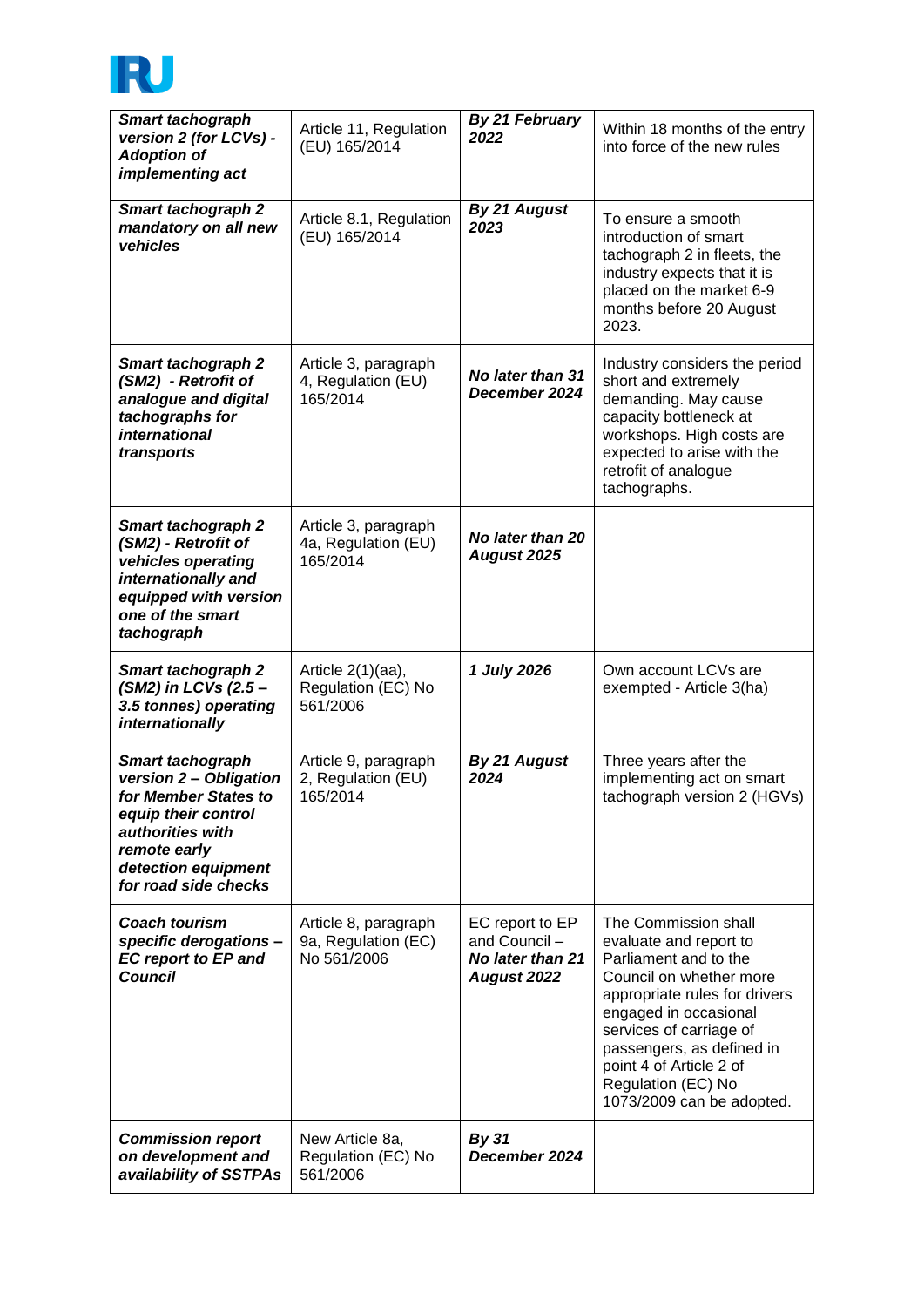

| <b>Smart tachograph</b><br>version 2 (for LCVs) -<br><b>Adoption of</b><br>implementing act                                                              | Article 11, Regulation<br>(EU) 165/2014                    | By 21 February<br>2022                                                     | Within 18 months of the entry<br>into force of the new rules                                                                                                                                                                                                                                       |
|----------------------------------------------------------------------------------------------------------------------------------------------------------|------------------------------------------------------------|----------------------------------------------------------------------------|----------------------------------------------------------------------------------------------------------------------------------------------------------------------------------------------------------------------------------------------------------------------------------------------------|
| <b>Smart tachograph 2</b><br>mandatory on all new<br>vehicles                                                                                            | Article 8.1, Regulation<br>(EU) 165/2014                   | By 21 August<br>2023                                                       | To ensure a smooth<br>introduction of smart<br>tachograph 2 in fleets, the<br>industry expects that it is<br>placed on the market 6-9<br>months before 20 August<br>2023.                                                                                                                          |
| Smart tachograph 2<br>(SM2) - Retrofit of<br>analogue and digital<br>tachographs for<br><i>international</i><br>transports                               | Article 3, paragraph<br>4, Regulation (EU)<br>165/2014     | No later than 31<br>December 2024                                          | Industry considers the period<br>short and extremely<br>demanding. May cause<br>capacity bottleneck at<br>workshops. High costs are<br>expected to arise with the<br>retrofit of analogue<br>tachographs.                                                                                          |
| <b>Smart tachograph 2</b><br>(SM2) - Retrofit of<br>vehicles operating<br>internationally and<br>equipped with version<br>one of the smart<br>tachograph | Article 3, paragraph<br>4a, Regulation (EU)<br>165/2014    | No later than 20<br>August 2025                                            |                                                                                                                                                                                                                                                                                                    |
| <b>Smart tachograph 2</b><br>(SM2) in LCVs (2.5 -<br>3.5 tonnes) operating<br>internationally                                                            | Article $2(1)(aa)$ ,<br>Regulation (EC) No<br>561/2006     | 1 July 2026                                                                | Own account LCVs are<br>exempted - Article 3(ha)                                                                                                                                                                                                                                                   |
| <b>Smart tachograph</b><br>version 2 - Obligation                                                                                                        | Article 9, paragraph                                       | By 21 August                                                               | Three years after the                                                                                                                                                                                                                                                                              |
| for Member States to<br>equip their control<br>authorities with<br>remote early<br>detection equipment<br>for road side checks                           | 2, Regulation (EU)<br>165/2014                             | 2024                                                                       | implementing act on smart<br>tachograph version 2 (HGVs)                                                                                                                                                                                                                                           |
| <b>Coach tourism</b><br>specific derogations -<br><b>EC report to EP and</b><br><b>Council</b>                                                           | Article 8, paragraph<br>9a, Regulation (EC)<br>No 561/2006 | EC report to EP<br>and Council -<br>No later than 21<br><b>August 2022</b> | The Commission shall<br>evaluate and report to<br>Parliament and to the<br>Council on whether more<br>appropriate rules for drivers<br>engaged in occasional<br>services of carriage of<br>passengers, as defined in<br>point 4 of Article 2 of<br>Regulation (EC) No<br>1073/2009 can be adopted. |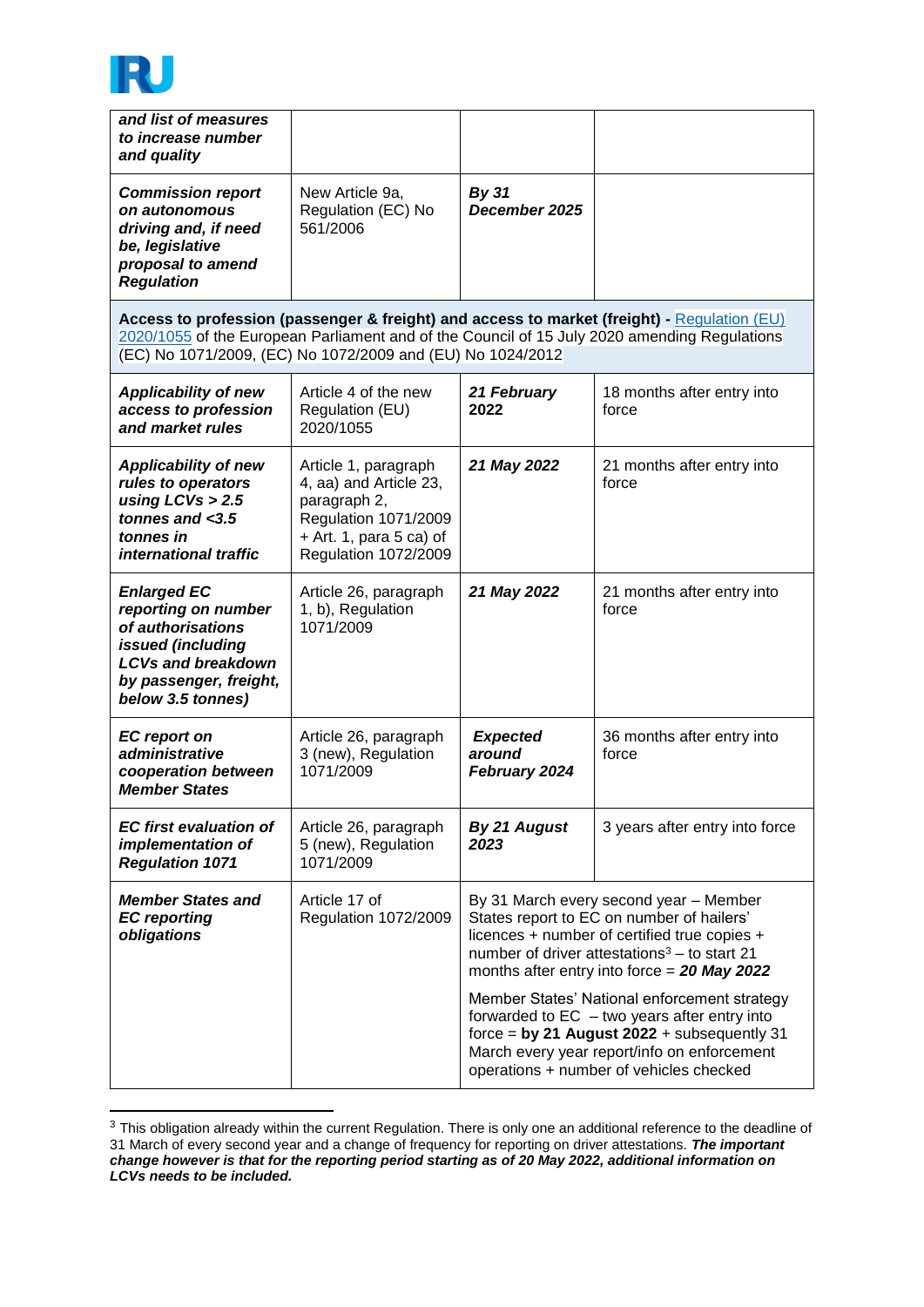

1

| and list of measures<br>to increase number<br>and quality                                                                                                                                                                                                 |                                                                                                                                                    |                                                                                                                                                                                                                                                                                                                                                                                                                                                                                               |                                     |
|-----------------------------------------------------------------------------------------------------------------------------------------------------------------------------------------------------------------------------------------------------------|----------------------------------------------------------------------------------------------------------------------------------------------------|-----------------------------------------------------------------------------------------------------------------------------------------------------------------------------------------------------------------------------------------------------------------------------------------------------------------------------------------------------------------------------------------------------------------------------------------------------------------------------------------------|-------------------------------------|
| <b>Commission report</b><br>on autonomous<br>driving and, if need<br>be, legislative<br>proposal to amend<br><b>Regulation</b>                                                                                                                            | New Article 9a,<br>Regulation (EC) No<br>561/2006                                                                                                  | <b>By 31</b><br>December 2025                                                                                                                                                                                                                                                                                                                                                                                                                                                                 |                                     |
| Access to profession (passenger & freight) and access to market (freight) - Regulation (EU)<br>2020/1055 of the European Parliament and of the Council of 15 July 2020 amending Regulations<br>(EC) No 1071/2009, (EC) No 1072/2009 and (EU) No 1024/2012 |                                                                                                                                                    |                                                                                                                                                                                                                                                                                                                                                                                                                                                                                               |                                     |
| <b>Applicability of new</b><br>access to profession<br>and market rules                                                                                                                                                                                   | Article 4 of the new<br>Regulation (EU)<br>2020/1055                                                                                               | 21 February<br>2022                                                                                                                                                                                                                                                                                                                                                                                                                                                                           | 18 months after entry into<br>force |
| <b>Applicability of new</b><br>rules to operators<br>using $LCVs > 2.5$<br>tonnes and $<$ 3.5<br>tonnes in<br>international traffic                                                                                                                       | Article 1, paragraph<br>4, aa) and Article 23,<br>paragraph 2,<br>Regulation 1071/2009<br>$+$ Art. 1, para 5 ca) of<br><b>Regulation 1072/2009</b> | 21 May 2022                                                                                                                                                                                                                                                                                                                                                                                                                                                                                   | 21 months after entry into<br>force |
| <b>Enlarged EC</b><br>reporting on number<br>of authorisations<br>issued (including<br><b>LCVs and breakdown</b><br>by passenger, freight,<br>below 3.5 tonnes)                                                                                           | Article 26, paragraph<br>1, b), Regulation<br>1071/2009                                                                                            | 21 May 2022                                                                                                                                                                                                                                                                                                                                                                                                                                                                                   | 21 months after entry into<br>force |
| <b>EC</b> report on<br>administrative<br>cooperation between<br><b>Member States</b>                                                                                                                                                                      | Article 26, paragraph<br>3 (new), Regulation<br>1071/2009                                                                                          | <b>Expected</b><br>around<br>February 2024                                                                                                                                                                                                                                                                                                                                                                                                                                                    | 36 months after entry into<br>force |
| <b>EC</b> first evaluation of<br>implementation of<br><b>Regulation 1071</b>                                                                                                                                                                              | Article 26, paragraph<br>5 (new), Regulation<br>1071/2009                                                                                          | By 21 August<br>2023                                                                                                                                                                                                                                                                                                                                                                                                                                                                          | 3 years after entry into force      |
| <b>Member States and</b><br><b>EC</b> reporting<br>obligations                                                                                                                                                                                            | Article 17 of<br><b>Regulation 1072/2009</b>                                                                                                       | By 31 March every second year - Member<br>States report to EC on number of hailers'<br>licences + number of certified true copies +<br>number of driver attestations <sup>3</sup> - to start 21<br>months after entry into force = $20$ May 2022<br>Member States' National enforcement strategy<br>forwarded to $EC - two years$ after entry into<br>force = by 21 August $2022 +$ subsequently 31<br>March every year report/info on enforcement<br>operations + number of vehicles checked |                                     |

 $3$  This obligation already within the current Regulation. There is only one an additional reference to the deadline of 31 March of every second year and a change of frequency for reporting on driver attestations. *The important change however is that for the reporting period starting as of 20 May 2022, additional information on LCVs needs to be included.*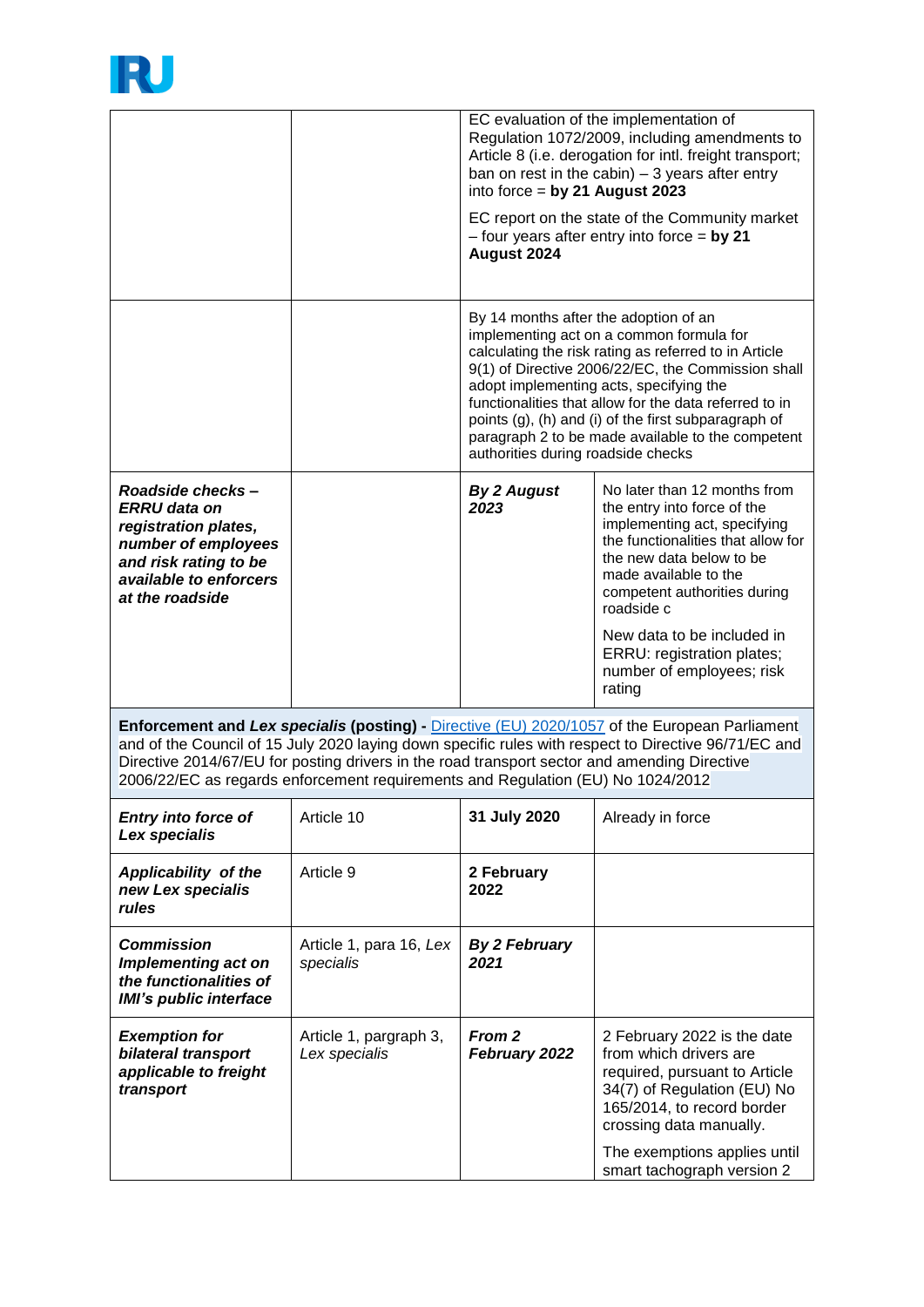

|                                                                                                                                                                                                                                                                                                                                                                                          |                                         | EC evaluation of the implementation of<br>Regulation 1072/2009, including amendments to<br>Article 8 (i.e. derogation for intl. freight transport;<br>ban on rest in the cabin) $-3$ years after entry<br>into force = by 21 August 2023<br>EC report on the state of the Community market<br>$-$ four years after entry into force = by 21<br>August 2024                                                                                               |                                                                                                                                                                                                                                                                                                                                         |
|------------------------------------------------------------------------------------------------------------------------------------------------------------------------------------------------------------------------------------------------------------------------------------------------------------------------------------------------------------------------------------------|-----------------------------------------|----------------------------------------------------------------------------------------------------------------------------------------------------------------------------------------------------------------------------------------------------------------------------------------------------------------------------------------------------------------------------------------------------------------------------------------------------------|-----------------------------------------------------------------------------------------------------------------------------------------------------------------------------------------------------------------------------------------------------------------------------------------------------------------------------------------|
|                                                                                                                                                                                                                                                                                                                                                                                          |                                         | By 14 months after the adoption of an<br>implementing act on a common formula for<br>calculating the risk rating as referred to in Article<br>9(1) of Directive 2006/22/EC, the Commission shall<br>adopt implementing acts, specifying the<br>functionalities that allow for the data referred to in<br>points (g), (h) and (i) of the first subparagraph of<br>paragraph 2 to be made available to the competent<br>authorities during roadside checks |                                                                                                                                                                                                                                                                                                                                         |
| Roadside checks-<br><b>ERRU</b> data on<br>registration plates,<br>number of employees<br>and risk rating to be<br>available to enforcers<br>at the roadside                                                                                                                                                                                                                             |                                         | <b>By 2 August</b><br>2023                                                                                                                                                                                                                                                                                                                                                                                                                               | No later than 12 months from<br>the entry into force of the<br>implementing act, specifying<br>the functionalities that allow for<br>the new data below to be<br>made available to the<br>competent authorities during<br>roadside c<br>New data to be included in<br>ERRU: registration plates;<br>number of employees; risk<br>rating |
| Enforcement and Lex specialis (posting) - Directive (EU) 2020/1057 of the European Parliament<br>and of the Council of 15 July 2020 laying down specific rules with respect to Directive 96/71/EC and<br>Directive 2014/67/EU for posting drivers in the road transport sector and amending Directive<br>2006/22/EC as regards enforcement requirements and Regulation (EU) No 1024/2012 |                                         |                                                                                                                                                                                                                                                                                                                                                                                                                                                          |                                                                                                                                                                                                                                                                                                                                         |
| <b>Entry into force of</b><br>Lex specialis                                                                                                                                                                                                                                                                                                                                              | Article 10                              | 31 July 2020                                                                                                                                                                                                                                                                                                                                                                                                                                             | Already in force                                                                                                                                                                                                                                                                                                                        |
| Applicability of the<br>new Lex specialis<br>rules                                                                                                                                                                                                                                                                                                                                       | Article 9                               | 2 February<br>2022                                                                                                                                                                                                                                                                                                                                                                                                                                       |                                                                                                                                                                                                                                                                                                                                         |
| <b>Commission</b><br>Implementing act on<br>the functionalities of<br><b>IMI's public interface</b>                                                                                                                                                                                                                                                                                      | Article 1, para 16, Lex<br>specialis    | <b>By 2 February</b><br>2021                                                                                                                                                                                                                                                                                                                                                                                                                             |                                                                                                                                                                                                                                                                                                                                         |
| <b>Exemption for</b><br>bilateral transport<br>applicable to freight<br>transport                                                                                                                                                                                                                                                                                                        | Article 1, pargraph 3,<br>Lex specialis | From 2<br>February 2022                                                                                                                                                                                                                                                                                                                                                                                                                                  | 2 February 2022 is the date<br>from which drivers are<br>required, pursuant to Article<br>34(7) of Regulation (EU) No<br>165/2014, to record border<br>crossing data manually.                                                                                                                                                          |
|                                                                                                                                                                                                                                                                                                                                                                                          |                                         |                                                                                                                                                                                                                                                                                                                                                                                                                                                          | The exemptions applies until<br>smart tachograph version 2                                                                                                                                                                                                                                                                              |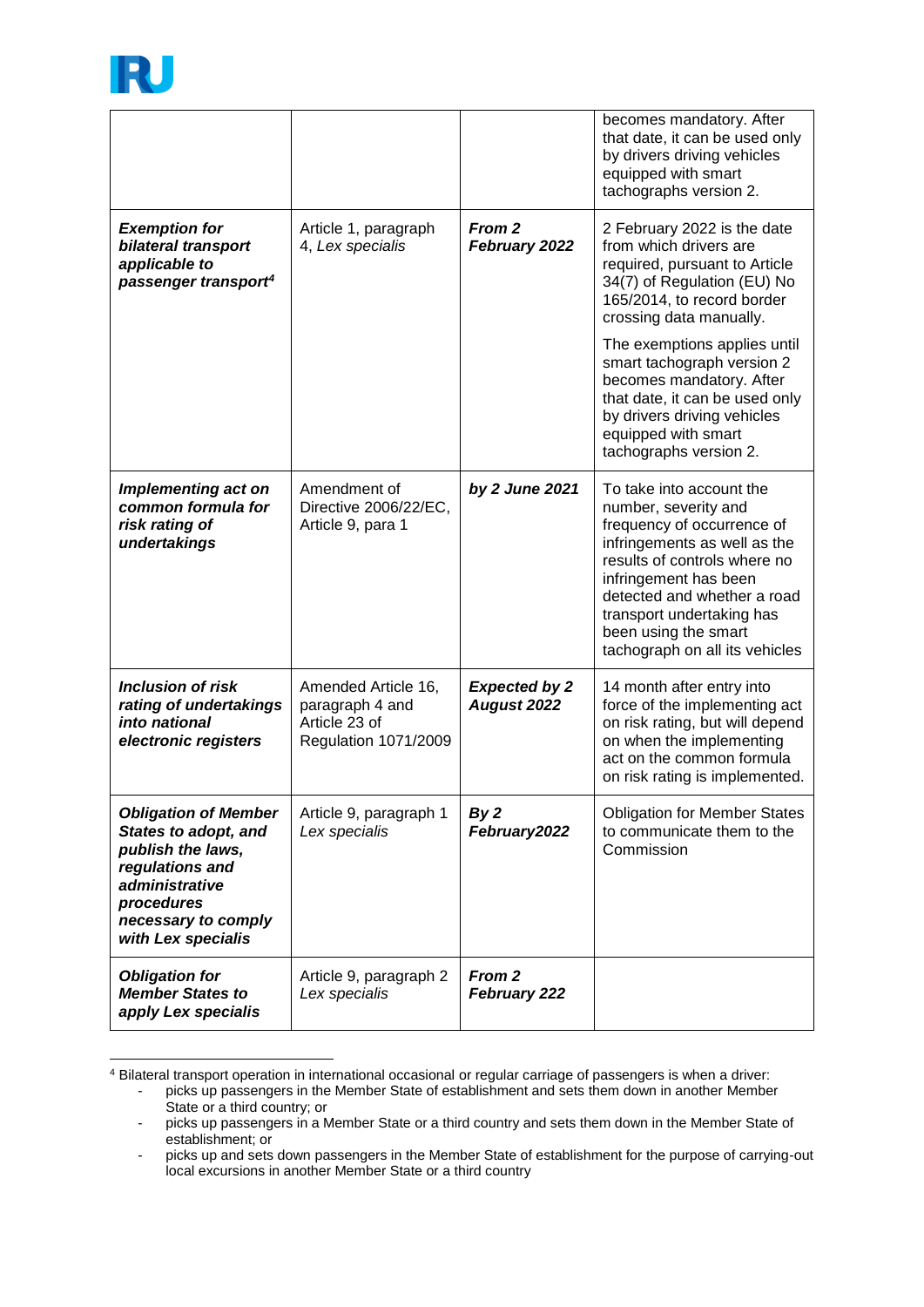

-

|                                                                                                                                                                                 |                                                                                 |                                     | becomes mandatory. After<br>that date, it can be used only<br>by drivers driving vehicles<br>equipped with smart<br>tachographs version 2.                                                                                                                                                    |
|---------------------------------------------------------------------------------------------------------------------------------------------------------------------------------|---------------------------------------------------------------------------------|-------------------------------------|-----------------------------------------------------------------------------------------------------------------------------------------------------------------------------------------------------------------------------------------------------------------------------------------------|
| <b>Exemption for</b><br>bilateral transport<br>applicable to<br>passenger transport <sup>4</sup>                                                                                | Article 1, paragraph<br>4, Lex specialis                                        | From 2<br>February 2022             | 2 February 2022 is the date<br>from which drivers are<br>required, pursuant to Article<br>34(7) of Regulation (EU) No<br>165/2014, to record border<br>crossing data manually.                                                                                                                |
|                                                                                                                                                                                 |                                                                                 |                                     | The exemptions applies until<br>smart tachograph version 2<br>becomes mandatory. After<br>that date, it can be used only<br>by drivers driving vehicles<br>equipped with smart<br>tachographs version 2.                                                                                      |
| <b>Implementing act on</b><br>common formula for<br>risk rating of<br>undertakings                                                                                              | Amendment of<br>Directive 2006/22/EC,<br>Article 9, para 1                      | by 2 June 2021                      | To take into account the<br>number, severity and<br>frequency of occurrence of<br>infringements as well as the<br>results of controls where no<br>infringement has been<br>detected and whether a road<br>transport undertaking has<br>been using the smart<br>tachograph on all its vehicles |
| <b>Inclusion of risk</b><br>rating of undertakings<br>into national<br>electronic registers                                                                                     | Amended Article 16,<br>paragraph 4 and<br>Article 23 of<br>Regulation 1071/2009 | <b>Expected by 2</b><br>August 2022 | 14 month after entry into<br>force of the implementing act<br>on risk rating, but will depend<br>on when the implementing<br>act on the common formula<br>on risk rating is implemented.                                                                                                      |
| <b>Obligation of Member</b><br><b>States to adopt, and</b><br>publish the laws,<br>regulations and<br>administrative<br>procedures<br>necessary to comply<br>with Lex specialis | Article 9, paragraph 1<br>Lex specialis                                         | By <sub>2</sub><br>February2022     | <b>Obligation for Member States</b><br>to communicate them to the<br>Commission                                                                                                                                                                                                               |
| <b>Obligation for</b><br><b>Member States to</b><br>apply Lex specialis                                                                                                         | Article 9, paragraph 2<br>Lex specialis                                         | From 2<br>February 222              |                                                                                                                                                                                                                                                                                               |

<sup>4</sup> Bilateral transport operation in international occasional or regular carriage of passengers is when a driver:

<sup>-</sup> picks up passengers in the Member State of establishment and sets them down in another Member State or a third country; or

<sup>-</sup> picks up passengers in a Member State or a third country and sets them down in the Member State of establishment; or

<sup>-</sup> picks up and sets down passengers in the Member State of establishment for the purpose of carrying-out local excursions in another Member State or a third country